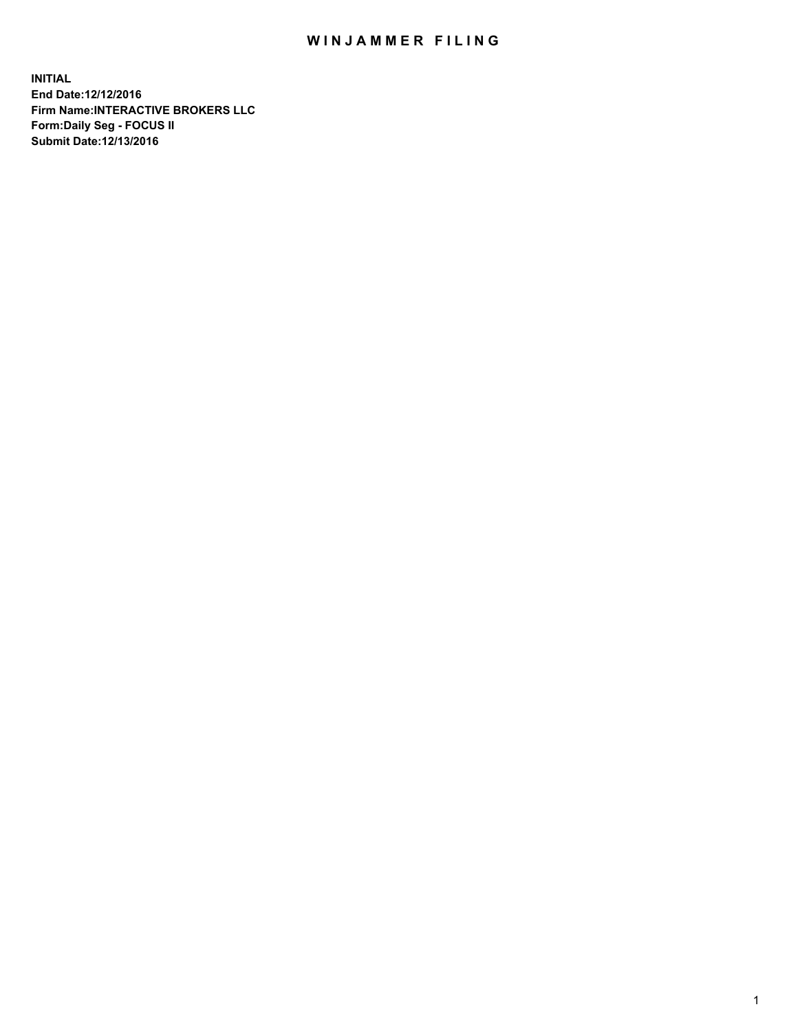## WIN JAMMER FILING

**INITIAL End Date:12/12/2016 Firm Name:INTERACTIVE BROKERS LLC Form:Daily Seg - FOCUS II Submit Date:12/13/2016**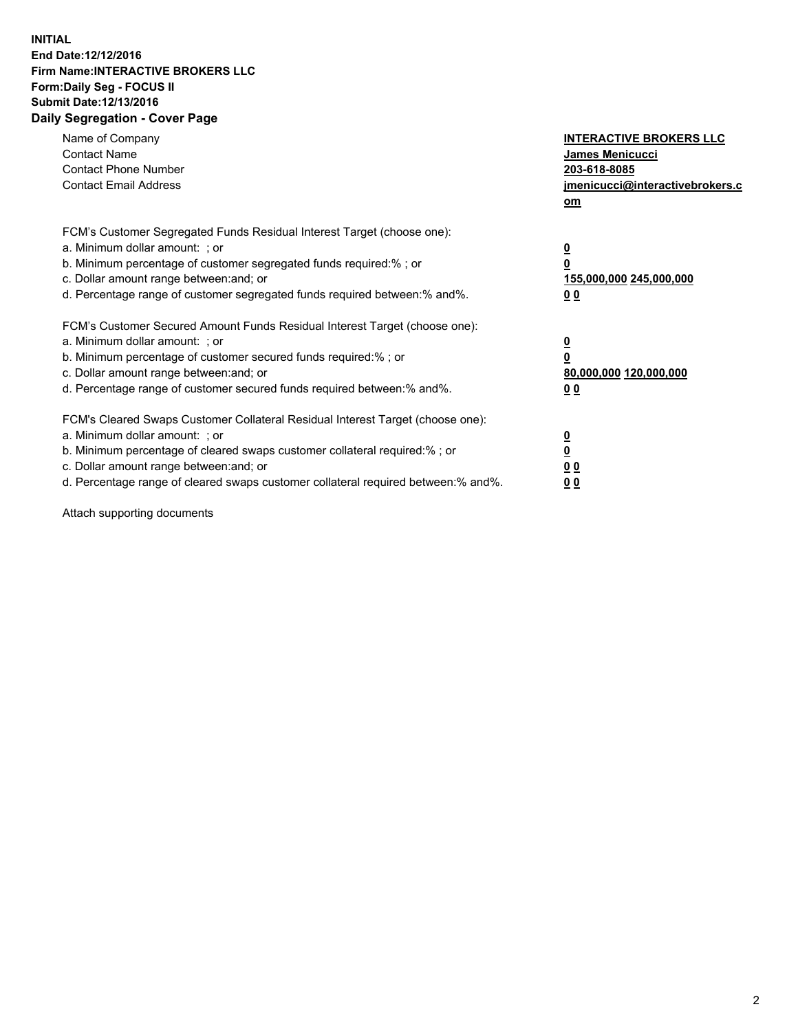## **INITIAL End Date:12/12/2016 Firm Name:INTERACTIVE BROKERS LLC Form:Daily Seg - FOCUS II Submit Date:12/13/2016 Daily Segregation - Cover Page**

| Name of Company<br><b>Contact Name</b><br><b>Contact Phone Number</b><br><b>Contact Email Address</b>                                                                                                                                                                                                                          | <b>INTERACTIVE BROKERS LLC</b><br>James Menicucci<br>203-618-8085<br><u>jmenicucci@interactivebrokers.c</u><br>om |
|--------------------------------------------------------------------------------------------------------------------------------------------------------------------------------------------------------------------------------------------------------------------------------------------------------------------------------|-------------------------------------------------------------------------------------------------------------------|
| FCM's Customer Segregated Funds Residual Interest Target (choose one):<br>a. Minimum dollar amount: ; or<br>b. Minimum percentage of customer segregated funds required:%; or<br>c. Dollar amount range between: and; or<br>d. Percentage range of customer segregated funds required between:% and%.                          | $\overline{\mathbf{0}}$<br>0<br>155,000,000 245,000,000<br>0 <sub>0</sub>                                         |
| FCM's Customer Secured Amount Funds Residual Interest Target (choose one):<br>a. Minimum dollar amount: ; or<br>b. Minimum percentage of customer secured funds required:%; or<br>c. Dollar amount range between: and; or<br>d. Percentage range of customer secured funds required between:% and%.                            | $\overline{\mathbf{0}}$<br>$\overline{\mathbf{0}}$<br>80,000,000 120,000,000<br>00                                |
| FCM's Cleared Swaps Customer Collateral Residual Interest Target (choose one):<br>a. Minimum dollar amount: ; or<br>b. Minimum percentage of cleared swaps customer collateral required:% ; or<br>c. Dollar amount range between: and; or<br>d. Percentage range of cleared swaps customer collateral required between:% and%. | $\overline{\mathbf{0}}$<br>$\overline{\mathbf{0}}$<br>0 <sub>0</sub><br><u>00</u>                                 |

Attach supporting documents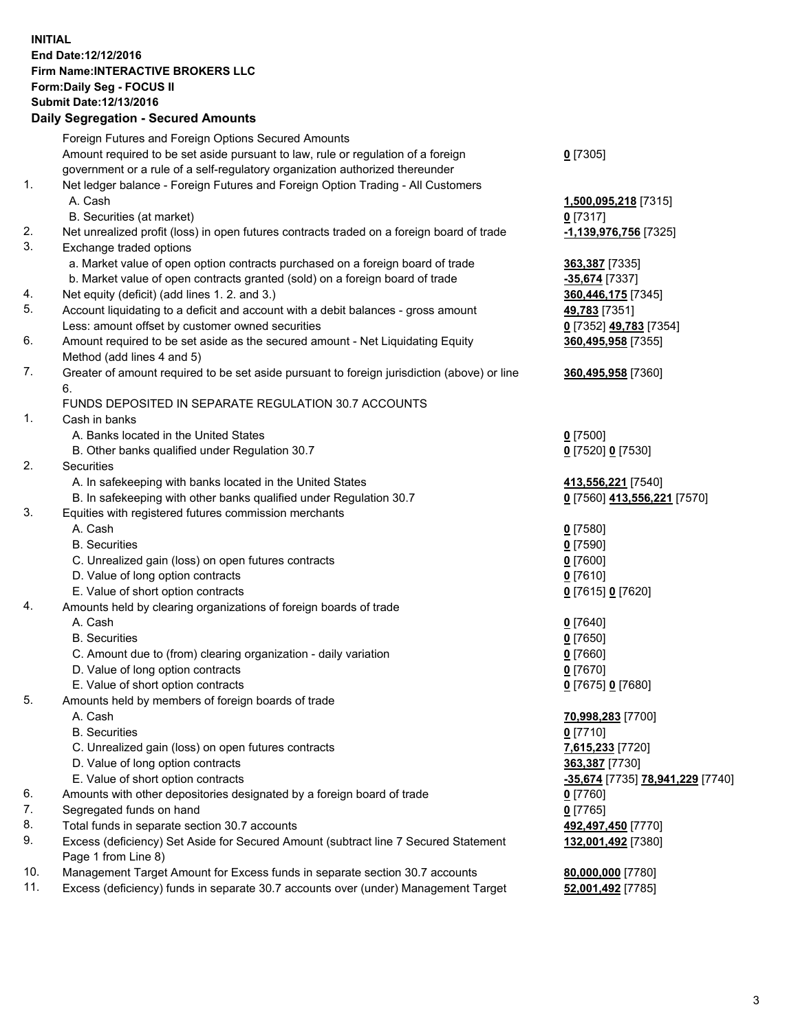## **INITIAL End Date:12/12/2016 Firm Name:INTERACTIVE BROKERS LLC Form:Daily Seg - FOCUS II Submit Date:12/13/2016 Daily Segregation - Secured Amounts**

|     | Daily Segregation - Secured Amounts                                                         |                                  |
|-----|---------------------------------------------------------------------------------------------|----------------------------------|
|     | Foreign Futures and Foreign Options Secured Amounts                                         |                                  |
|     | Amount required to be set aside pursuant to law, rule or regulation of a foreign            | $0$ [7305]                       |
|     | government or a rule of a self-regulatory organization authorized thereunder                |                                  |
| 1.  | Net ledger balance - Foreign Futures and Foreign Option Trading - All Customers             |                                  |
|     | A. Cash                                                                                     |                                  |
|     |                                                                                             | 1,500,095,218 [7315]             |
|     | B. Securities (at market)                                                                   | $0$ [7317]                       |
| 2.  | Net unrealized profit (loss) in open futures contracts traded on a foreign board of trade   | -1,139,976,756 [7325]            |
| 3.  | Exchange traded options                                                                     |                                  |
|     | a. Market value of open option contracts purchased on a foreign board of trade              | 363,387 [7335]                   |
|     | b. Market value of open contracts granted (sold) on a foreign board of trade                | -35,674 [7337]                   |
| 4.  | Net equity (deficit) (add lines 1. 2. and 3.)                                               | 360,446,175 [7345]               |
| 5.  | Account liquidating to a deficit and account with a debit balances - gross amount           | 49,783 [7351]                    |
|     | Less: amount offset by customer owned securities                                            | 0 [7352] 49,783 [7354]           |
| 6.  | Amount required to be set aside as the secured amount - Net Liquidating Equity              | 360,495,958 [7355]               |
|     | Method (add lines 4 and 5)                                                                  |                                  |
| 7.  | Greater of amount required to be set aside pursuant to foreign jurisdiction (above) or line | 360,495,958 [7360]               |
|     | 6.                                                                                          |                                  |
|     | FUNDS DEPOSITED IN SEPARATE REGULATION 30.7 ACCOUNTS                                        |                                  |
| 1.  | Cash in banks                                                                               |                                  |
|     | A. Banks located in the United States                                                       | $0$ [7500]                       |
|     | B. Other banks qualified under Regulation 30.7                                              | 0 [7520] 0 [7530]                |
| 2.  | <b>Securities</b>                                                                           |                                  |
|     | A. In safekeeping with banks located in the United States                                   | 413,556,221 [7540]               |
|     | B. In safekeeping with other banks qualified under Regulation 30.7                          | 0 [7560] 413,556,221 [7570]      |
| 3.  | Equities with registered futures commission merchants                                       |                                  |
|     | A. Cash                                                                                     | $0$ [7580]                       |
|     | <b>B.</b> Securities                                                                        | $0$ [7590]                       |
|     | C. Unrealized gain (loss) on open futures contracts                                         | $0$ [7600]                       |
|     | D. Value of long option contracts                                                           | $0$ [7610]                       |
|     | E. Value of short option contracts                                                          |                                  |
| 4.  | Amounts held by clearing organizations of foreign boards of trade                           | 0 [7615] 0 [7620]                |
|     | A. Cash                                                                                     |                                  |
|     |                                                                                             | $0$ [7640]                       |
|     | <b>B.</b> Securities                                                                        | $0$ [7650]                       |
|     | C. Amount due to (from) clearing organization - daily variation                             | $0$ [7660]                       |
|     | D. Value of long option contracts                                                           | $0$ [7670]                       |
|     | E. Value of short option contracts                                                          | 0 [7675] 0 [7680]                |
| 5.  | Amounts held by members of foreign boards of trade                                          |                                  |
|     | A. Cash                                                                                     | 70,998,283 [7700]                |
|     | <b>B.</b> Securities                                                                        | $0$ [7710]                       |
|     | C. Unrealized gain (loss) on open futures contracts                                         | 7,615,233 [7720]                 |
|     | D. Value of long option contracts                                                           | 363,387 [7730]                   |
|     | E. Value of short option contracts                                                          | -35,674 [7735] 78,941,229 [7740] |
| 6.  | Amounts with other depositories designated by a foreign board of trade                      | 0 [7760]                         |
| 7.  | Segregated funds on hand                                                                    | $0$ [7765]                       |
| 8.  | Total funds in separate section 30.7 accounts                                               | 492,497,450 [7770]               |
| 9.  | Excess (deficiency) Set Aside for Secured Amount (subtract line 7 Secured Statement         | 132,001,492 [7380]               |
|     | Page 1 from Line 8)                                                                         |                                  |
| 10. | Management Target Amount for Excess funds in separate section 30.7 accounts                 | 80,000,000 [7780]                |
| 11. | Excess (deficiency) funds in separate 30.7 accounts over (under) Management Target          | 52,001,492 [7785]                |
|     |                                                                                             |                                  |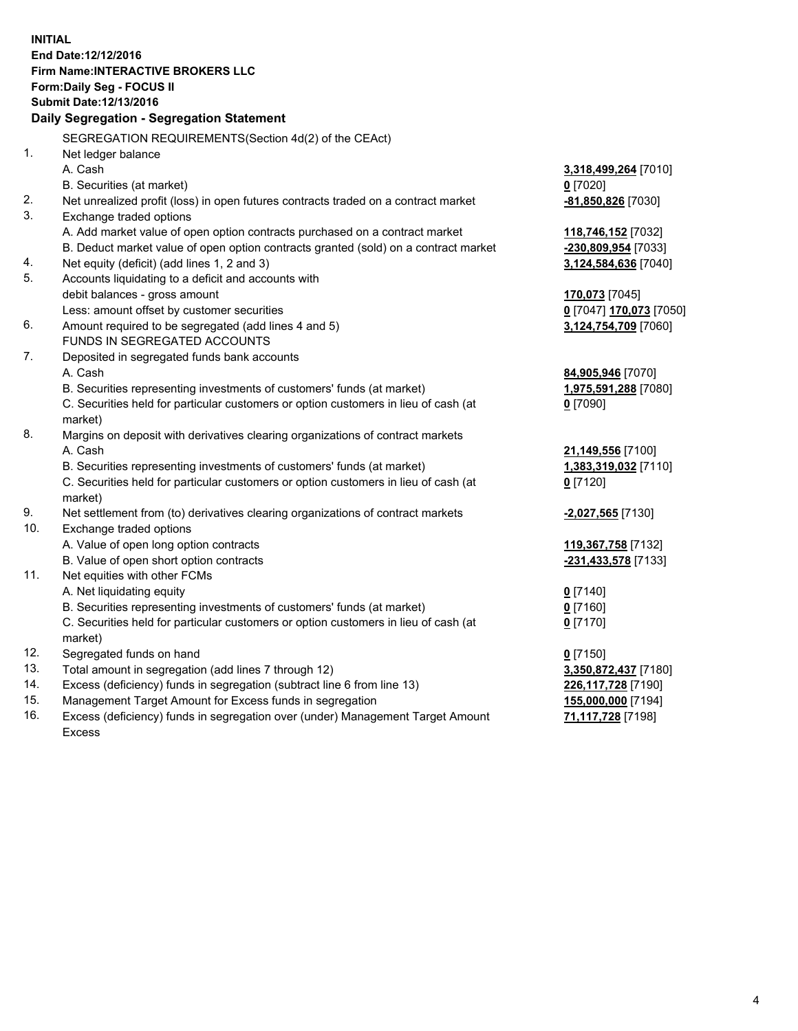**INITIAL End Date:12/12/2016 Firm Name:INTERACTIVE BROKERS LLC Form:Daily Seg - FOCUS II Submit Date:12/13/2016 Daily Segregation - Segregation Statement** SEGREGATION REQUIREMENTS(Section 4d(2) of the CEAct) 1. Net ledger balance A. Cash **3,318,499,264** [7010] B. Securities (at market) **0** [7020] 2. Net unrealized profit (loss) in open futures contracts traded on a contract market **-81,850,826** [7030] 3. Exchange traded options A. Add market value of open option contracts purchased on a contract market **118,746,152** [7032] B. Deduct market value of open option contracts granted (sold) on a contract market **-230,809,954** [7033] 4. Net equity (deficit) (add lines 1, 2 and 3) **3,124,584,636** [7040] 5. Accounts liquidating to a deficit and accounts with debit balances - gross amount **170,073** [7045] Less: amount offset by customer securities **0** [7047] **170,073** [7050] 6. Amount required to be segregated (add lines 4 and 5) **3,124,754,709** [7060] FUNDS IN SEGREGATED ACCOUNTS 7. Deposited in segregated funds bank accounts A. Cash **84,905,946** [7070] B. Securities representing investments of customers' funds (at market) **1,975,591,288** [7080] C. Securities held for particular customers or option customers in lieu of cash (at market) **0** [7090] 8. Margins on deposit with derivatives clearing organizations of contract markets A. Cash **21,149,556** [7100] B. Securities representing investments of customers' funds (at market) **1,383,319,032** [7110] C. Securities held for particular customers or option customers in lieu of cash (at market) **0** [7120] 9. Net settlement from (to) derivatives clearing organizations of contract markets **-2,027,565** [7130] 10. Exchange traded options A. Value of open long option contracts **119,367,758** [7132] B. Value of open short option contracts **-231,433,578** [7133] 11. Net equities with other FCMs A. Net liquidating equity **0** [7140] B. Securities representing investments of customers' funds (at market) **0** [7160] C. Securities held for particular customers or option customers in lieu of cash (at market) **0** [7170] 12. Segregated funds on hand **0** [7150] 13. Total amount in segregation (add lines 7 through 12) **3,350,872,437** [7180] 14. Excess (deficiency) funds in segregation (subtract line 6 from line 13) **226,117,728** [7190] 15. Management Target Amount for Excess funds in segregation **155,000,000** [7194]

16. Excess (deficiency) funds in segregation over (under) Management Target Amount Excess

**71,117,728** [7198]